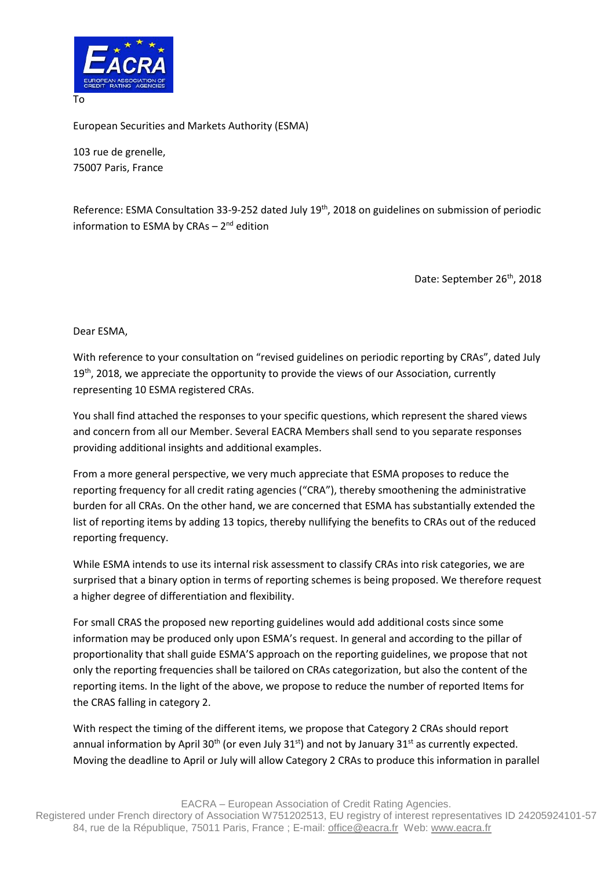

European Securities and Markets Authority (ESMA)

103 rue de grenelle, 75007 Paris, France

Reference: ESMA Consultation 33-9-252 dated July 19<sup>th</sup>, 2018 on guidelines on submission of periodic information to ESMA by CRAs - 2<sup>nd</sup> edition

Date: September 26<sup>th</sup>, 2018

Dear ESMA,

With reference to your consultation on "revised guidelines on periodic reporting by CRAs", dated July  $19<sup>th</sup>$ , 2018, we appreciate the opportunity to provide the views of our Association, currently representing 10 ESMA registered CRAs.

You shall find attached the responses to your specific questions, which represent the shared views and concern from all our Member. Several EACRA Members shall send to you separate responses providing additional insights and additional examples.

From a more general perspective, we very much appreciate that ESMA proposes to reduce the reporting frequency for all credit rating agencies ("CRA"), thereby smoothening the administrative burden for all CRAs. On the other hand, we are concerned that ESMA has substantially extended the list of reporting items by adding 13 topics, thereby nullifying the benefits to CRAs out of the reduced reporting frequency.

While ESMA intends to use its internal risk assessment to classify CRAs into risk categories, we are surprised that a binary option in terms of reporting schemes is being proposed. We therefore request a higher degree of differentiation and flexibility.

For small CRAS the proposed new reporting guidelines would add additional costs since some information may be produced only upon ESMA's request. In general and according to the pillar of proportionality that shall guide ESMA'S approach on the reporting guidelines, we propose that not only the reporting frequencies shall be tailored on CRAs categorization, but also the content of the reporting items. In the light of the above, we propose to reduce the number of reported Items for the CRAS falling in category 2.

With respect the timing of the different items, we propose that Category 2 CRAs should report annual information by April 30<sup>th</sup> (or even July 31<sup>st</sup>) and not by January 31<sup>st</sup> as currently expected. Moving the deadline to April or July will allow Category 2 CRAs to produce this information in parallel

EACRA – European Association of Credit Rating Agencies.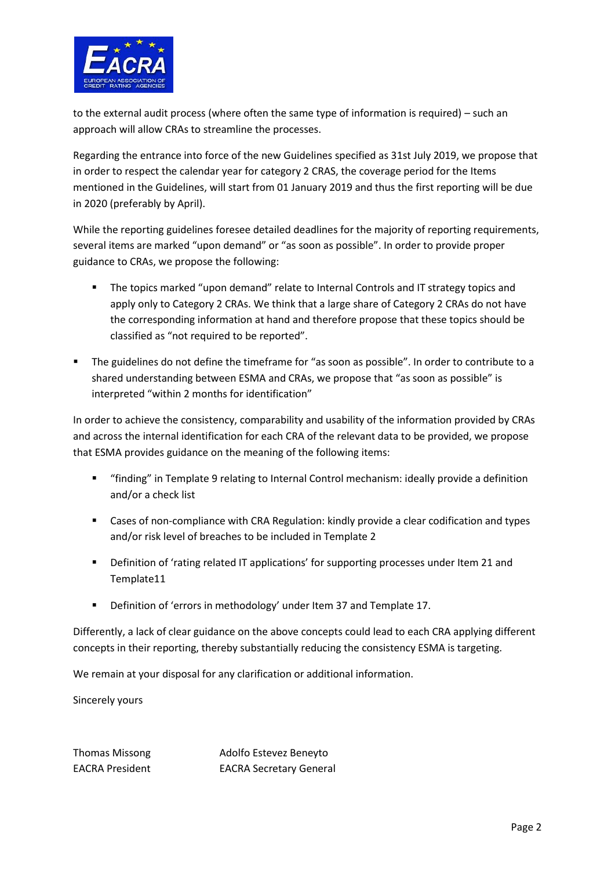

to the external audit process (where often the same type of information is required) – such an approach will allow CRAs to streamline the processes.

Regarding the entrance into force of the new Guidelines specified as 31st July 2019, we propose that in order to respect the calendar year for category 2 CRAS, the coverage period for the Items mentioned in the Guidelines, will start from 01 January 2019 and thus the first reporting will be due in 2020 (preferably by April).

While the reporting guidelines foresee detailed deadlines for the majority of reporting requirements, several items are marked "upon demand" or "as soon as possible". In order to provide proper guidance to CRAs, we propose the following:

- **The topics marked "upon demand" relate to Internal Controls and IT strategy topics and** apply only to Category 2 CRAs. We think that a large share of Category 2 CRAs do not have the corresponding information at hand and therefore propose that these topics should be classified as "not required to be reported".
- The guidelines do not define the timeframe for "as soon as possible". In order to contribute to a shared understanding between ESMA and CRAs, we propose that "as soon as possible" is interpreted "within 2 months for identification"

In order to achieve the consistency, comparability and usability of the information provided by CRAs and across the internal identification for each CRA of the relevant data to be provided, we propose that ESMA provides guidance on the meaning of the following items:

- "finding" in Template 9 relating to Internal Control mechanism: ideally provide a definition and/or a check list
- Cases of non-compliance with CRA Regulation: kindly provide a clear codification and types and/or risk level of breaches to be included in Template 2
- Definition of 'rating related IT applications' for supporting processes under Item 21 and Template11
- Definition of 'errors in methodology' under Item 37 and Template 17.

Differently, a lack of clear guidance on the above concepts could lead to each CRA applying different concepts in their reporting, thereby substantially reducing the consistency ESMA is targeting.

We remain at your disposal for any clarification or additional information.

Sincerely yours

Thomas Missong **Adolfo Estevez Benevto** EACRA President EACRA Secretary General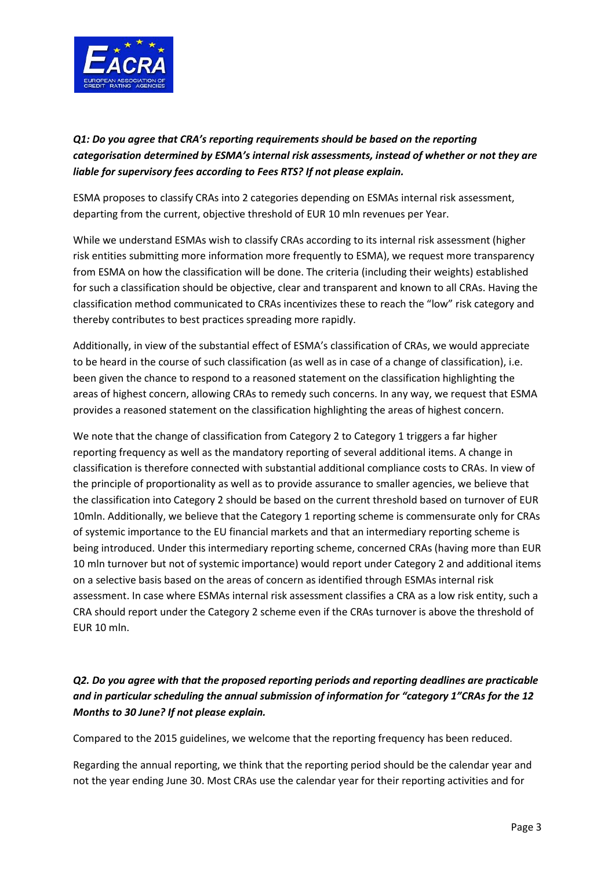

# *Q1: Do you agree that CRA's reporting requirements should be based on the reporting categorisation determined by ESMA's internal risk assessments, instead of whether or not they are liable for supervisory fees according to Fees RTS? If not please explain.*

ESMA proposes to classify CRAs into 2 categories depending on ESMAs internal risk assessment, departing from the current, objective threshold of EUR 10 mln revenues per Year.

While we understand ESMAs wish to classify CRAs according to its internal risk assessment (higher risk entities submitting more information more frequently to ESMA), we request more transparency from ESMA on how the classification will be done. The criteria (including their weights) established for such a classification should be objective, clear and transparent and known to all CRAs. Having the classification method communicated to CRAs incentivizes these to reach the "low" risk category and thereby contributes to best practices spreading more rapidly.

Additionally, in view of the substantial effect of ESMA's classification of CRAs, we would appreciate to be heard in the course of such classification (as well as in case of a change of classification), i.e. been given the chance to respond to a reasoned statement on the classification highlighting the areas of highest concern, allowing CRAs to remedy such concerns. In any way, we request that ESMA provides a reasoned statement on the classification highlighting the areas of highest concern.

We note that the change of classification from Category 2 to Category 1 triggers a far higher reporting frequency as well as the mandatory reporting of several additional items. A change in classification is therefore connected with substantial additional compliance costs to CRAs. In view of the principle of proportionality as well as to provide assurance to smaller agencies, we believe that the classification into Category 2 should be based on the current threshold based on turnover of EUR 10mln. Additionally, we believe that the Category 1 reporting scheme is commensurate only for CRAs of systemic importance to the EU financial markets and that an intermediary reporting scheme is being introduced. Under this intermediary reporting scheme, concerned CRAs (having more than EUR 10 mln turnover but not of systemic importance) would report under Category 2 and additional items on a selective basis based on the areas of concern as identified through ESMAs internal risk assessment. In case where ESMAs internal risk assessment classifies a CRA as a low risk entity, such a CRA should report under the Category 2 scheme even if the CRAs turnover is above the threshold of EUR 10 mln.

# *Q2. Do you agree with that the proposed reporting periods and reporting deadlines are practicable and in particular scheduling the annual submission of information for "category 1"CRAs for the 12 Months to 30 June? If not please explain.*

Compared to the 2015 guidelines, we welcome that the reporting frequency has been reduced.

Regarding the annual reporting, we think that the reporting period should be the calendar year and not the year ending June 30. Most CRAs use the calendar year for their reporting activities and for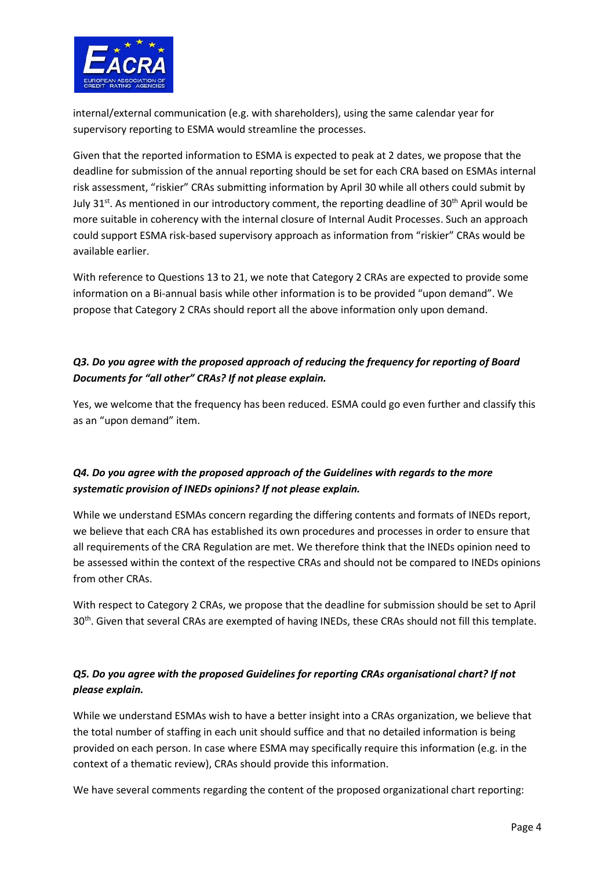

internal/external communication (e.g. with shareholders), using the same calendar year for supervisory reporting to ESMA would streamline the processes.

Given that the reported information to ESMA is expected to peak at 2 dates, we propose that the deadline for submission of the annual reporting should be set for each CRA based on ESMAs internal risk assessment, "riskier" CRAs submitting information by April 30 while all others could submit by July 31st. As mentioned in our introductory comment, the reporting deadline of 30<sup>th</sup> April would be more suitable in coherency with the internal closure of Internal Audit Processes. Such an approach could support ESMA risk-based supervisory approach as information from "riskier" CRAs would be available earlier.

With reference to Questions 13 to 21, we note that Category 2 CRAs are expected to provide some information on a Bi-annual basis while other information is to be provided "upon demand". We propose that Category 2 CRAs should report all the above information only upon demand.

#### *Q3. Do you agree with the proposed approach of reducing the frequency for reporting of Board Documents for "all other" CRAs? If not please explain.*

Yes, we welcome that the frequency has been reduced. ESMA could go even further and classify this as an "upon demand" item.

# *Q4. Do you agree with the proposed approach of the Guidelines with regards to the more systematic provision of INEDs opinions? If not please explain.*

While we understand ESMAs concern regarding the differing contents and formats of INEDs report, we believe that each CRA has established its own procedures and processes in order to ensure that all requirements of the CRA Regulation are met. We therefore think that the INEDs opinion need to be assessed within the context of the respective CRAs and should not be compared to INEDs opinions from other CRAs.

With respect to Category 2 CRAs, we propose that the deadline for submission should be set to April 30<sup>th</sup>. Given that several CRAs are exempted of having INEDs, these CRAs should not fill this template.

# *Q5. Do you agree with the proposed Guidelines for reporting CRAs organisational chart? If not please explain.*

While we understand ESMAs wish to have a better insight into a CRAs organization, we believe that the total number of staffing in each unit should suffice and that no detailed information is being provided on each person. In case where ESMA may specifically require this information (e.g. in the context of a thematic review), CRAs should provide this information.

We have several comments regarding the content of the proposed organizational chart reporting: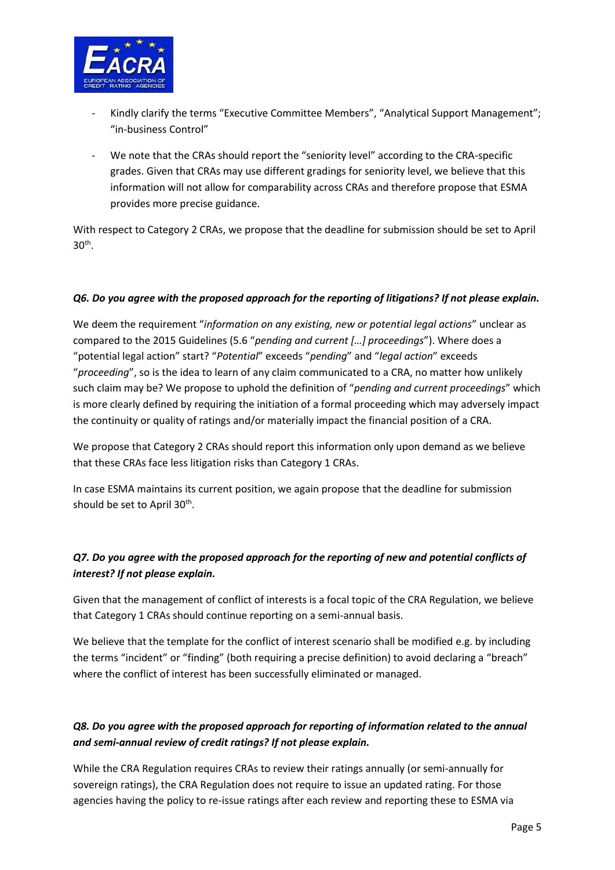

- Kindly clarify the terms "Executive Committee Members", "Analytical Support Management"; "in-business Control"
- We note that the CRAs should report the "seniority level" according to the CRA-specific grades. Given that CRAs may use different gradings for seniority level, we believe that this information will not allow for comparability across CRAs and therefore propose that ESMA provides more precise guidance.

With respect to Category 2 CRAs, we propose that the deadline for submission should be set to April  $30<sup>th</sup>$ .

#### *Q6. Do you agree with the proposed approach for the reporting of litigations? If not please explain.*

We deem the requirement "*information on any existing, new or potential legal actions*" unclear as compared to the 2015 Guidelines (5.6 "*pending and current […] proceedings*"). Where does a "potential legal action" start? "*Potential*" exceeds "*pending*" and "*legal action*" exceeds "*proceeding*", so is the idea to learn of any claim communicated to a CRA, no matter how unlikely such claim may be? We propose to uphold the definition of "*pending and current proceedings*" which is more clearly defined by requiring the initiation of a formal proceeding which may adversely impact the continuity or quality of ratings and/or materially impact the financial position of a CRA.

We propose that Category 2 CRAs should report this information only upon demand as we believe that these CRAs face less litigation risks than Category 1 CRAs.

In case ESMA maintains its current position, we again propose that the deadline for submission should be set to April  $30<sup>th</sup>$ .

# *Q7. Do you agree with the proposed approach for the reporting of new and potential conflicts of interest? If not please explain.*

Given that the management of conflict of interests is a focal topic of the CRA Regulation, we believe that Category 1 CRAs should continue reporting on a semi-annual basis.

We believe that the template for the conflict of interest scenario shall be modified e.g. by including the terms "incident" or "finding" (both requiring a precise definition) to avoid declaring a "breach" where the conflict of interest has been successfully eliminated or managed.

# *Q8. Do you agree with the proposed approach for reporting of information related to the annual and semi-annual review of credit ratings? If not please explain.*

While the CRA Regulation requires CRAs to review their ratings annually (or semi-annually for sovereign ratings), the CRA Regulation does not require to issue an updated rating. For those agencies having the policy to re-issue ratings after each review and reporting these to ESMA via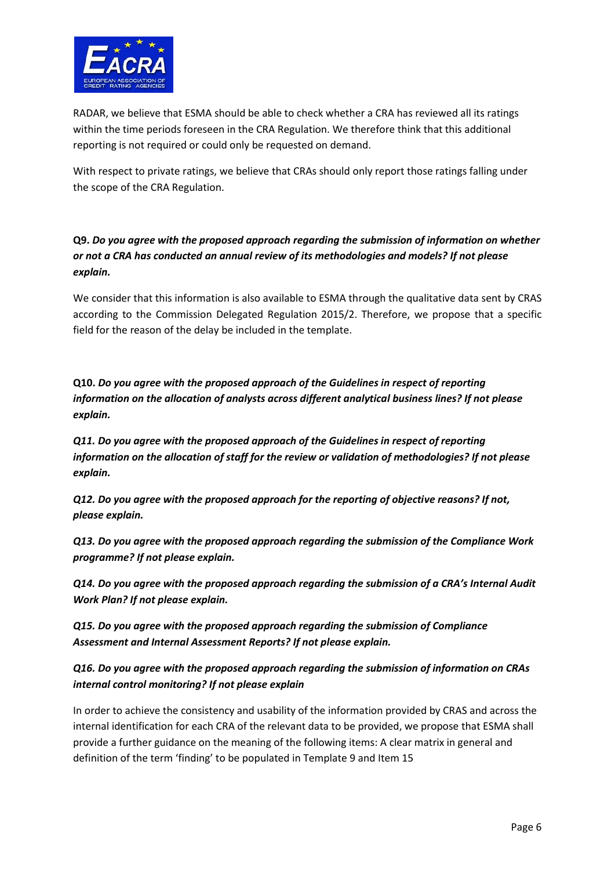

RADAR, we believe that ESMA should be able to check whether a CRA has reviewed all its ratings within the time periods foreseen in the CRA Regulation. We therefore think that this additional reporting is not required or could only be requested on demand.

With respect to private ratings, we believe that CRAs should only report those ratings falling under the scope of the CRA Regulation.

**Q9.** *Do you agree with the proposed approach regarding the submission of information on whether or not a CRA has conducted an annual review of its methodologies and models? If not please explain.*

We consider that this information is also available to ESMA through the qualitative data sent by CRAS according to the Commission Delegated Regulation 2015/2. Therefore, we propose that a specific field for the reason of the delay be included in the template.

**Q10.** *Do you agree with the proposed approach of the Guidelines in respect of reporting information on the allocation of analysts across different analytical business lines? If not please explain.*

*Q11. Do you agree with the proposed approach of the Guidelines in respect of reporting information on the allocation of staff for the review or validation of methodologies? If not please explain.*

*Q12. Do you agree with the proposed approach for the reporting of objective reasons? If not, please explain.*

*Q13. Do you agree with the proposed approach regarding the submission of the Compliance Work programme? If not please explain.* 

*Q14. Do you agree with the proposed approach regarding the submission of a CRA's Internal Audit Work Plan? If not please explain.* 

*Q15. Do you agree with the proposed approach regarding the submission of Compliance Assessment and Internal Assessment Reports? If not please explain.* 

*Q16. Do you agree with the proposed approach regarding the submission of information on CRAs internal control monitoring? If not please explain* 

In order to achieve the consistency and usability of the information provided by CRAS and across the internal identification for each CRA of the relevant data to be provided, we propose that ESMA shall provide a further guidance on the meaning of the following items: A clear matrix in general and definition of the term 'finding' to be populated in Template 9 and Item 15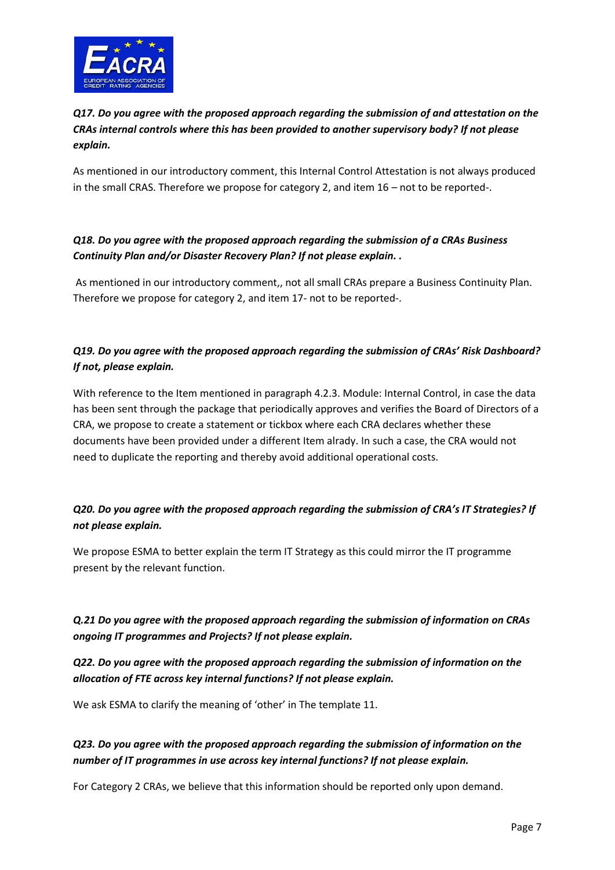

*Q17. Do you agree with the proposed approach regarding the submission of and attestation on the CRAs internal controls where this has been provided to another supervisory body? If not please explain.* 

As mentioned in our introductory comment, this Internal Control Attestation is not always produced in the small CRAS. Therefore we propose for category 2, and item 16 – not to be reported-.

#### *Q18. Do you agree with the proposed approach regarding the submission of a CRAs Business Continuity Plan and/or Disaster Recovery Plan? If not please explain. .*

As mentioned in our introductory comment,, not all small CRAs prepare a Business Continuity Plan. Therefore we propose for category 2, and item 17- not to be reported-.

# *Q19. Do you agree with the proposed approach regarding the submission of CRAs' Risk Dashboard? If not, please explain.*

With reference to the Item mentioned in paragraph 4.2.3. Module: Internal Control, in case the data has been sent through the package that periodically approves and verifies the Board of Directors of a CRA, we propose to create a statement or tickbox where each CRA declares whether these documents have been provided under a different Item alrady. In such a case, the CRA would not need to duplicate the reporting and thereby avoid additional operational costs.

# *Q20. Do you agree with the proposed approach regarding the submission of CRA's IT Strategies? If not please explain.*

We propose ESMA to better explain the term IT Strategy as this could mirror the IT programme present by the relevant function.

# *Q.21 Do you agree with the proposed approach regarding the submission of information on CRAs ongoing IT programmes and Projects? If not please explain.*

*Q22. Do you agree with the proposed approach regarding the submission of information on the allocation of FTE across key internal functions? If not please explain.* 

We ask ESMA to clarify the meaning of 'other' in The template 11.

#### *Q23. Do you agree with the proposed approach regarding the submission of information on the number of IT programmes in use across key internal functions? If not please explain.*

For Category 2 CRAs, we believe that this information should be reported only upon demand.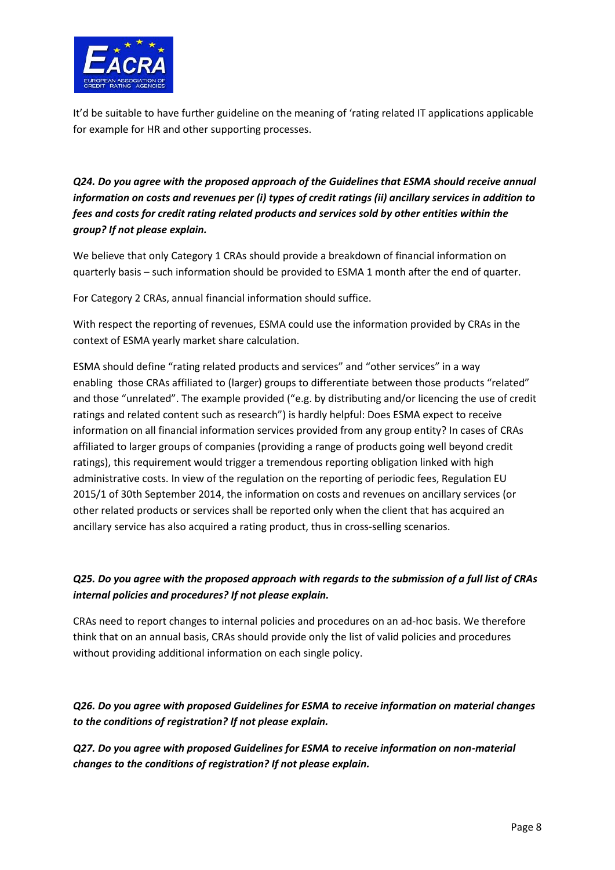

It'd be suitable to have further guideline on the meaning of 'rating related IT applications applicable for example for HR and other supporting processes.

*Q24. Do you agree with the proposed approach of the Guidelines that ESMA should receive annual information on costs and revenues per (i) types of credit ratings (ii) ancillary services in addition to fees and costs for credit rating related products and services sold by other entities within the group? If not please explain.*

We believe that only Category 1 CRAs should provide a breakdown of financial information on quarterly basis – such information should be provided to ESMA 1 month after the end of quarter.

For Category 2 CRAs, annual financial information should suffice.

With respect the reporting of revenues, ESMA could use the information provided by CRAs in the context of ESMA yearly market share calculation.

ESMA should define "rating related products and services" and "other services" in a way enabling those CRAs affiliated to (larger) groups to differentiate between those products "related" and those "unrelated". The example provided ("e.g. by distributing and/or licencing the use of credit ratings and related content such as research") is hardly helpful: Does ESMA expect to receive information on all financial information services provided from any group entity? In cases of CRAs affiliated to larger groups of companies (providing a range of products going well beyond credit ratings), this requirement would trigger a tremendous reporting obligation linked with high administrative costs. In view of the regulation on the reporting of periodic fees, Regulation EU 2015/1 of 30th September 2014, the information on costs and revenues on ancillary services (or other related products or services shall be reported only when the client that has acquired an ancillary service has also acquired a rating product, thus in cross-selling scenarios.

# *Q25. Do you agree with the proposed approach with regards to the submission of a full list of CRAs internal policies and procedures? If not please explain.*

CRAs need to report changes to internal policies and procedures on an ad-hoc basis. We therefore think that on an annual basis, CRAs should provide only the list of valid policies and procedures without providing additional information on each single policy.

*Q26. Do you agree with proposed Guidelines for ESMA to receive information on material changes to the conditions of registration? If not please explain.* 

*Q27. Do you agree with proposed Guidelines for ESMA to receive information on non-material changes to the conditions of registration? If not please explain.*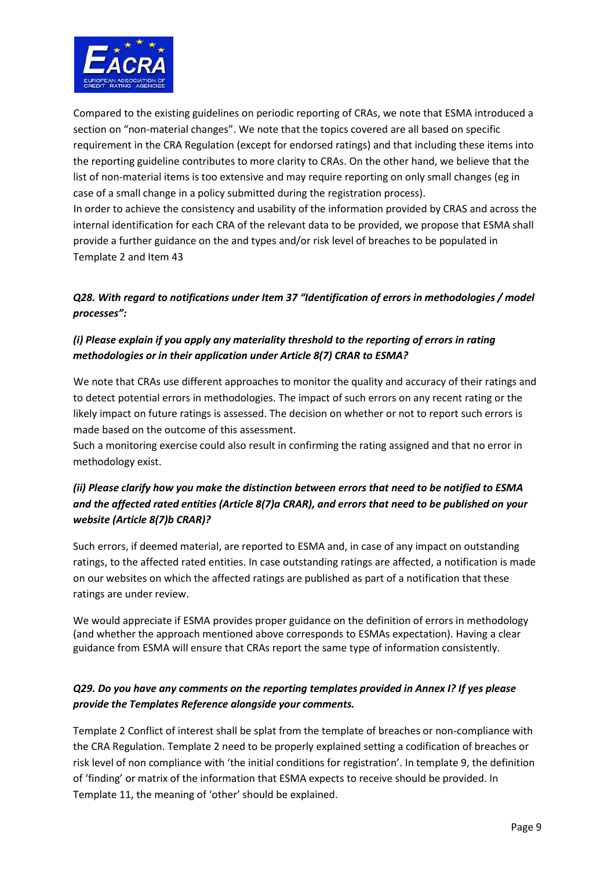

Compared to the existing guidelines on periodic reporting of CRAs, we note that ESMA introduced a section on "non-material changes". We note that the topics covered are all based on specific requirement in the CRA Regulation (except for endorsed ratings) and that including these items into the reporting guideline contributes to more clarity to CRAs. On the other hand, we believe that the list of non-material items is too extensive and may require reporting on only small changes (eg in case of a small change in a policy submitted during the registration process).

In order to achieve the consistency and usability of the information provided by CRAS and across the internal identification for each CRA of the relevant data to be provided, we propose that ESMA shall provide a further guidance on the and types and/or risk level of breaches to be populated in Template 2 and Item 43

# *Q28. With regard to notifications under Item 37 "Identification of errors in methodologies / model processes":*

# *(i) Please explain if you apply any materiality threshold to the reporting of errors in rating methodologies or in their application under Article 8(7) CRAR to ESMA?*

We note that CRAs use different approaches to monitor the quality and accuracy of their ratings and to detect potential errors in methodologies. The impact of such errors on any recent rating or the likely impact on future ratings is assessed. The decision on whether or not to report such errors is made based on the outcome of this assessment.

Such a monitoring exercise could also result in confirming the rating assigned and that no error in methodology exist.

# *(ii) Please clarify how you make the distinction between errors that need to be notified to ESMA and the affected rated entities (Article 8(7)a CRAR), and errors that need to be published on your website (Article 8(7)b CRAR)?*

Such errors, if deemed material, are reported to ESMA and, in case of any impact on outstanding ratings, to the affected rated entities. In case outstanding ratings are affected, a notification is made on our websites on which the affected ratings are published as part of a notification that these ratings are under review.

We would appreciate if ESMA provides proper guidance on the definition of errors in methodology (and whether the approach mentioned above corresponds to ESMAs expectation). Having a clear guidance from ESMA will ensure that CRAs report the same type of information consistently.

#### *Q29. Do you have any comments on the reporting templates provided in Annex I? If yes please provide the Templates Reference alongside your comments.*

Template 2 Conflict of interest shall be splat from the template of breaches or non-compliance with the CRA Regulation. Template 2 need to be properly explained setting a codification of breaches or risk level of non compliance with 'the initial conditions for registration'. In template 9, the definition of 'finding' or matrix of the information that ESMA expects to receive should be provided. In Template 11, the meaning of 'other' should be explained.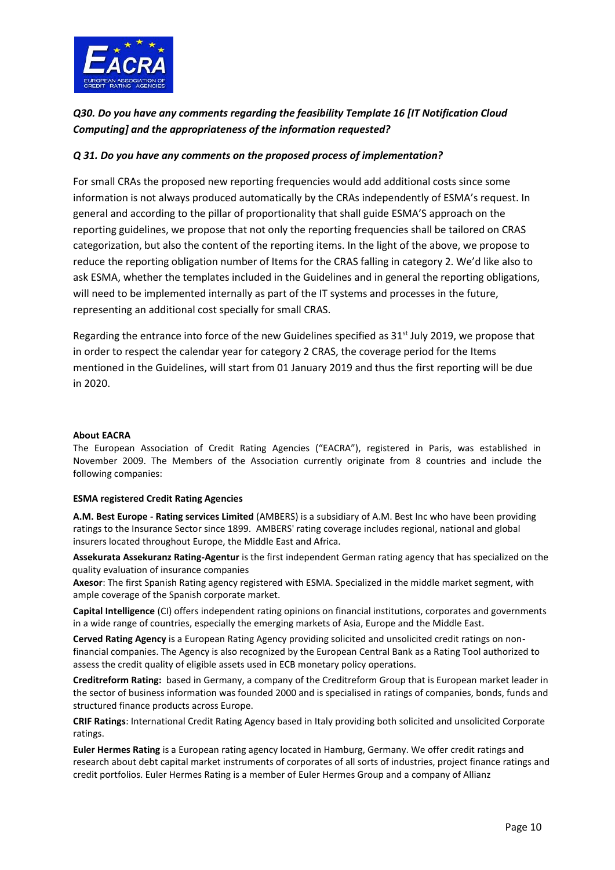

# *Q30. Do you have any comments regarding the feasibility Template 16 [IT Notification Cloud Computing] and the appropriateness of the information requested?*

#### *Q 31. Do you have any comments on the proposed process of implementation?*

For small CRAs the proposed new reporting frequencies would add additional costs since some information is not always produced automatically by the CRAs independently of ESMA's request. In general and according to the pillar of proportionality that shall guide ESMA'S approach on the reporting guidelines, we propose that not only the reporting frequencies shall be tailored on CRAS categorization, but also the content of the reporting items. In the light of the above, we propose to reduce the reporting obligation number of Items for the CRAS falling in category 2. We'd like also to ask ESMA, whether the templates included in the Guidelines and in general the reporting obligations, will need to be implemented internally as part of the IT systems and processes in the future, representing an additional cost specially for small CRAS.

Regarding the entrance into force of the new Guidelines specified as  $31<sup>st</sup>$  July 2019, we propose that in order to respect the calendar year for category 2 CRAS, the coverage period for the Items mentioned in the Guidelines, will start from 01 January 2019 and thus the first reporting will be due in 2020.

#### **About EACRA**

The European Association of Credit Rating Agencies ("EACRA"), registered in Paris, was established in November 2009. The Members of the Association currently originate from 8 countries and include the following companies:

#### **ESMA registered Credit Rating Agencies**

**A.M. Best Europe - Rating services Limited** (AMBERS) is a subsidiary of A.M. Best Inc who have been providing ratings to the Insurance Sector since 1899. AMBERS' rating coverage includes regional, national and global insurers located throughout Europe, the Middle East and Africa.

**Assekurata Assekuranz Rating-Agentur** is the first independent German rating agency that has specialized on the quality evaluation of insurance companies

**Axesor**: The first Spanish Rating agency registered with ESMA. Specialized in the middle market segment, with ample coverage of the Spanish corporate market.

**Capital Intelligence** (CI) offers independent rating opinions on financial institutions, corporates and governments in a wide range of countries, especially the emerging markets of Asia, Europe and the Middle East.

**Cerved Rating Agency** is a European Rating Agency providing solicited and unsolicited credit ratings on nonfinancial companies. The Agency is also recognized by the European Central Bank as a Rating Tool authorized to assess the credit quality of eligible assets used in ECB monetary policy operations.

**Creditreform Rating:** based in Germany, a company of the Creditreform Group that is European market leader in the sector of business information was founded 2000 and is specialised in ratings of companies, bonds, funds and structured finance products across Europe.

**CRIF Ratings**: International Credit Rating Agency based in Italy providing both solicited and unsolicited Corporate ratings.

**Euler Hermes Rating** is a European rating agency located in Hamburg, Germany. We offer credit ratings and research about debt capital market instruments of corporates of all sorts of industries, project finance ratings and credit portfolios. Euler Hermes Rating is a member of Euler Hermes Group and a company of Allianz